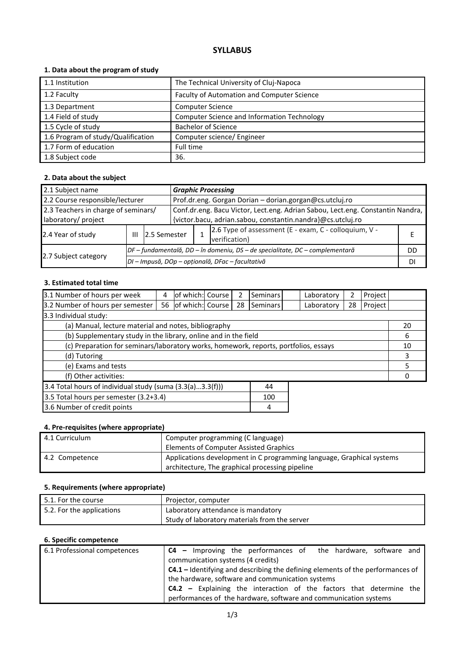# **SYLLABUS**

## **1. Data about the program of study**

| 1.1 Institution                    | The Technical University of Cluj-Napoca     |
|------------------------------------|---------------------------------------------|
| 1.2 Faculty                        | Faculty of Automation and Computer Science  |
| 1.3 Department                     | <b>Computer Science</b>                     |
| 1.4 Field of study                 | Computer Science and Information Technology |
| 1.5 Cycle of study                 | <b>Bachelor of Science</b>                  |
| 1.6 Program of study/Qualification | Computer science/ Engineer                  |
| 1.7 Form of education              | Full time                                   |
| 1.8 Subject code                   | 36.                                         |

## **2. Data about the subject**

| 2.1 Subject name                                           |   |                                                                              | <b>Graphic Processing</b>                                                                                                                     |                                                                        |    |  |
|------------------------------------------------------------|---|------------------------------------------------------------------------------|-----------------------------------------------------------------------------------------------------------------------------------------------|------------------------------------------------------------------------|----|--|
| 2.2 Course responsible/lecturer                            |   |                                                                              | Prof.dr.eng. Gorgan Dorian - dorian.gorgan@cs.utcluj.ro                                                                                       |                                                                        |    |  |
| 2.3 Teachers in charge of seminars/<br>laboratory/ project |   |                                                                              | Conf.dr.eng. Bacu Victor, Lect.eng. Adrian Sabou, Lect.eng. Constantin Nandra,<br>{victor.bacu, adrian.sabou, constantin.nandra}@cs.utcluj.ro |                                                                        |    |  |
| 2.4 Year of study                                          | Ш | 2.5 Semester                                                                 |                                                                                                                                               | 2.6 Type of assessment (E - exam, C - colloquium, V -<br>verification) |    |  |
|                                                            |   | DF - fundamentală, DD - în domeniu, DS - de specialitate, DC - complementară |                                                                                                                                               |                                                                        | DD |  |
| 2.7 Subject category                                       |   | DI - Impusă, DOp - opțională, DFac - facultativă                             |                                                                                                                                               |                                                                        |    |  |

#### **3. Estimated total time**

| 3.1 Number of hours per week                                                         | 4  | of which: Course |  |    | <b>Seminars</b> |   | Laboratory | 2  | Project |    |
|--------------------------------------------------------------------------------------|----|------------------|--|----|-----------------|---|------------|----|---------|----|
| 3.2 Number of hours per semester                                                     | 56 | of which: Course |  | 28 | Seminars        |   | Laboratory | 28 | Project |    |
| 3.3 Individual study:                                                                |    |                  |  |    |                 |   |            |    |         |    |
| (a) Manual, lecture material and notes, bibliography                                 |    |                  |  |    |                 |   |            |    |         | 20 |
| (b) Supplementary study in the library, online and in the field                      |    |                  |  |    |                 |   |            |    |         | 6  |
| (c) Preparation for seminars/laboratory works, homework, reports, portfolios, essays |    |                  |  |    | 10              |   |            |    |         |    |
| (d) Tutoring                                                                         |    |                  |  |    |                 | 3 |            |    |         |    |
| (e) Exams and tests                                                                  |    |                  |  |    |                 | 5 |            |    |         |    |
| (f) Other activities:                                                                |    |                  |  |    | 0               |   |            |    |         |    |
| 3.4 Total hours of individual study (suma (3.3(a)3.3(f)))<br>44                      |    |                  |  |    |                 |   |            |    |         |    |
| 3.5 Total hours per semester (3.2+3.4)                                               |    |                  |  |    | 100             |   |            |    |         |    |
| 3.6 Number of credit points<br>4                                                     |    |                  |  |    |                 |   |            |    |         |    |

## **4. Pre-requisites (where appropriate)**

| 4.1 Curriculum | Computer programming (C language)<br><b>Elements of Computer Assisted Graphics</b>                                       |
|----------------|--------------------------------------------------------------------------------------------------------------------------|
| 4.2 Competence | Applications development in C programming language, Graphical systems<br>architecture, The graphical processing pipeline |

## **5. Requirements (where appropriate)**

| $\mid$ 5.1. For the course | Projector, computer                           |
|----------------------------|-----------------------------------------------|
| 5.2. For the applications  | Laboratory attendance is mandatory            |
|                            | Study of laboratory materials from the server |

## **6. Specific competence**

| 6.1 Professional competences | <b>C4</b> – Improving the performances of the hardware, software and                  |
|------------------------------|---------------------------------------------------------------------------------------|
|                              | communication systems (4 credits)                                                     |
|                              | <b>C4.1</b> – Identifying and describing the defining elements of the performances of |
|                              | the hardware, software and communication systems                                      |
|                              | $C4.2$ – Explaining the interaction of the factors that determine the                 |
|                              | performances of the hardware, software and communication systems                      |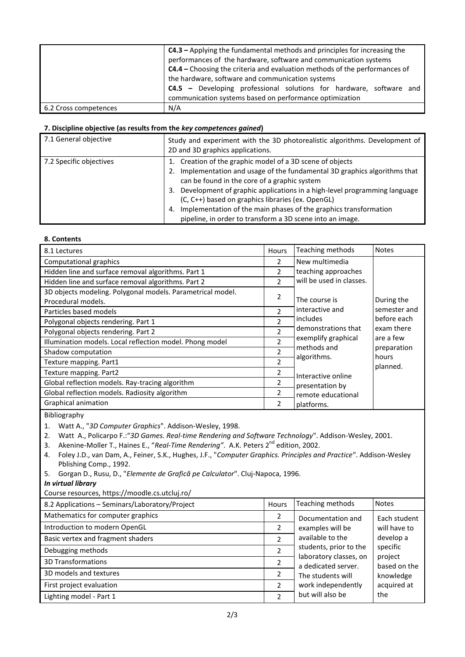|                       | <b>C4.3</b> - Applying the fundamental methods and principles for increasing the<br>performances of the hardware, software and communication systems<br><b>C4.4</b> – Choosing the criteria and evaluation methods of the performances of |  |  |  |  |  |
|-----------------------|-------------------------------------------------------------------------------------------------------------------------------------------------------------------------------------------------------------------------------------------|--|--|--|--|--|
|                       | the hardware, software and communication systems                                                                                                                                                                                          |  |  |  |  |  |
|                       | <b>C4.5</b> - Developing professional solutions for hardware, software and<br>communication systems based on performance optimization                                                                                                     |  |  |  |  |  |
|                       |                                                                                                                                                                                                                                           |  |  |  |  |  |
| 6.2 Cross competences | N/A                                                                                                                                                                                                                                       |  |  |  |  |  |

#### **7. Discipline objective (as results from the** *key competences gained***)**

| Study and experiment with the 3D photorealistic algorithms. Development of<br>2D and 3D graphics applications.                                                                                                                                                                                                                                                                                                                                                  |  |  |  |
|-----------------------------------------------------------------------------------------------------------------------------------------------------------------------------------------------------------------------------------------------------------------------------------------------------------------------------------------------------------------------------------------------------------------------------------------------------------------|--|--|--|
| 1. Creation of the graphic model of a 3D scene of objects<br>2. Implementation and usage of the fundamental 3D graphics algorithms that<br>can be found in the core of a graphic system<br>3. Development of graphic applications in a high-level programming language<br>(C, C++) based on graphics libraries (ex. OpenGL)<br>4. Implementation of the main phases of the graphics transformation<br>pipeline, in order to transform a 3D scene into an image. |  |  |  |
|                                                                                                                                                                                                                                                                                                                                                                                                                                                                 |  |  |  |

#### **8. Contents**

| 8.1 Lectures                                               | Hours                    | Teaching methods         | <b>Notes</b>         |
|------------------------------------------------------------|--------------------------|--------------------------|----------------------|
| Computational graphics                                     | $\overline{2}$           | New multimedia           |                      |
| Hidden line and surface removal algorithms. Part 1         | 2                        | teaching approaches      |                      |
| Hidden line and surface removal algorithms. Part 2         | $\overline{\phantom{a}}$ | will be used in classes. |                      |
| 3D objects modeling. Polygonal models. Parametrical model. | 2                        |                          |                      |
| Procedural models.                                         |                          | The course is            | During the           |
| Particles based models                                     | $\mathfrak{p}$           | interactive and          | semester and         |
| Polygonal objects rendering. Part 1                        | $\mathfrak{p}$           | includes                 | before each          |
| Polygonal objects rendering. Part 2                        | $\overline{\phantom{a}}$ | demonstrations that      | exam there           |
| Illumination models. Local reflection model. Phong model   | $\overline{\phantom{a}}$ | exemplify graphical      | are a few            |
| Shadow computation                                         | $\overline{\phantom{a}}$ | methods and              | preparation<br>hours |
| Texture mapping. Part1                                     | $\overline{\phantom{a}}$ | algorithms.              | planned.             |
| Texture mapping. Part2                                     | 2                        | Interactive online       |                      |
| Global reflection models. Ray-tracing algorithm            | 2                        | presentation by          |                      |
| Global reflection models. Radiosity algorithm              | 2                        | remote educational       |                      |
| Graphical animation                                        | 2                        | platforms.               |                      |

Bibliography

3. Akenine-Moller T., Haines E., "*Real-Time Rendering"*. A.K. Peters 2nd edition, 2002.

- 4. Foley J.D., van Dam, A., Feiner, S.K., Hughes, J.F., "*Computer Graphics. Principles and Practice*". Addison-Wesley Pblishing Comp., 1992.
- 5. Gorgan D., Rusu, D., "*Elemente de Grafică pe Calculator*". Cluj-Napoca, 1996.

*In virtual library*

Course resources, https://moodle.cs.utcluj.ro/

| 8.2 Applications - Seminars/Laboratory/Project | Hours                    | Teaching methods                              | <b>Notes</b>            |
|------------------------------------------------|--------------------------|-----------------------------------------------|-------------------------|
| Mathematics for computer graphics              | 2                        | Documentation and                             | Each student            |
| Introduction to modern OpenGL                  | 2                        | examples will be                              | will have to            |
| Basic vertex and fragment shaders              | $\overline{\phantom{a}}$ | available to the                              | develop a               |
| Debugging methods                              | 2                        | students, prior to the                        | specific                |
| <b>3D Transformations</b>                      |                          | laboratory classes, on<br>a dedicated server. | project<br>based on the |
| 3D models and textures                         | 2                        | The students will                             | knowledge               |
| First project evaluation                       | 2                        | work independently                            | acquired at             |
| Lighting model - Part 1                        | $\overline{\phantom{a}}$ | but will also be                              | the                     |

<sup>1.</sup> Watt A., "*3D Computer Graphics*". Addison-Wesley, 1998.

<sup>2.</sup> Watt A., Policarpo F.:"*3D Games. Real-time Rendering and Software Technology*". Addison-Wesley, 2001.